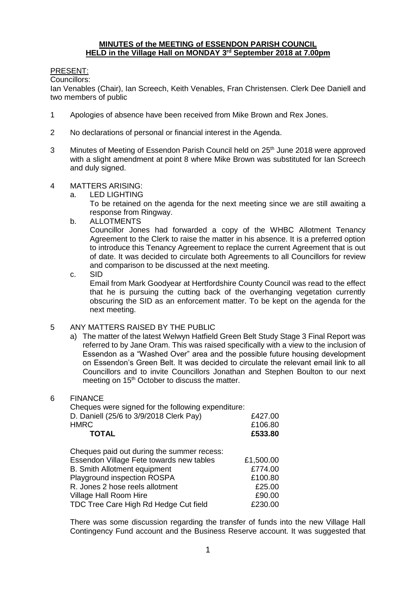#### **MINUTES of the MEETING of ESSENDON PARISH COUNCIL HELD in the Village Hall on MONDAY 3 rd September 2018 at 7.00pm**

## PRESENT:

Councillors:

Ian Venables (Chair), Ian Screech, Keith Venables, Fran Christensen. Clerk Dee Daniell and two members of public

- 1 Apologies of absence have been received from Mike Brown and Rex Jones.
- 2 No declarations of personal or financial interest in the Agenda.
- 3 Minutes of Meeting of Essendon Parish Council held on 25<sup>th</sup> June 2018 were approved with a slight amendment at point 8 where Mike Brown was substituted for Ian Screech and duly signed.

#### 4 MATTERS ARISING:

a. LED LIGHTING

To be retained on the agenda for the next meeting since we are still awaiting a response from Ringway.

b. ALLOTMENTS

Councillor Jones had forwarded a copy of the WHBC Allotment Tenancy Agreement to the Clerk to raise the matter in his absence. It is a preferred option to introduce this Tenancy Agreement to replace the current Agreement that is out of date. It was decided to circulate both Agreements to all Councillors for review and comparison to be discussed at the next meeting.

c. SID

Email from Mark Goodyear at Hertfordshire County Council was read to the effect that he is pursuing the cutting back of the overhanging vegetation currently obscuring the SID as an enforcement matter. To be kept on the agenda for the next meeting.

### 5 ANY MATTERS RAISED BY THE PUBLIC

a) The matter of the latest Welwyn Hatfield Green Belt Study Stage 3 Final Report was referred to by Jane Oram. This was raised specifically with a view to the inclusion of Essendon as a "Washed Over" area and the possible future housing development on Essendon's Green Belt. It was decided to circulate the relevant email link to all Councillors and to invite Councillors Jonathan and Stephen Boulton to our next meeting on 15<sup>th</sup> October to discuss the matter.

### 6 FINANCE

| Cheques were signed for the following expenditure: |           |
|----------------------------------------------------|-----------|
| D. Daniell (25/6 to 3/9/2018 Clerk Pay)            | £427.00   |
| <b>HMRC</b>                                        | £106.80   |
| <b>TOTAL</b>                                       | £533.80   |
| Cheques paid out during the summer recess:         |           |
| Essendon Village Fete towards new tables           | £1,500.00 |
| <b>B.</b> Smith Allotment equipment                | £774.00   |
| Playground inspection ROSPA                        | £100.80   |
| R. Jones 2 hose reels allotment                    | £25.00    |
| Village Hall Room Hire                             | £90.00    |
| TDC Tree Care High Rd Hedge Cut field              | £230.00   |

There was some discussion regarding the transfer of funds into the new Village Hall Contingency Fund account and the Business Reserve account. It was suggested that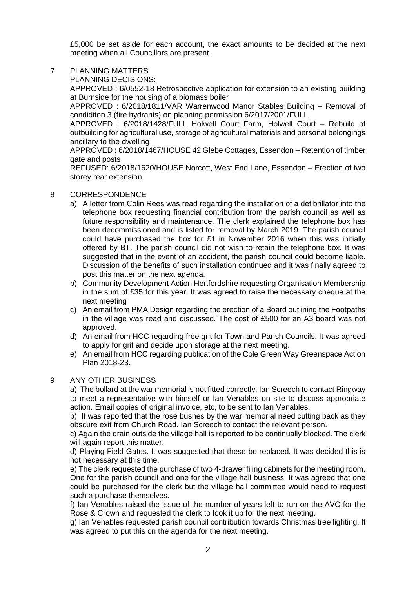£5,000 be set aside for each account, the exact amounts to be decided at the next meeting when all Councillors are present.

### 7 PLANNING MATTERS

PLANNING DECISIONS:

APPROVED : 6/0552-18 Retrospective application for extension to an existing building at Burnside for the housing of a biomass boiler

APPROVED : 6/2018/1811/VAR Warrenwood Manor Stables Building – Removal of condiditon 3 (fire hydrants) on planning permission 6/2017/2001/FULL

APPROVED : 6/2018/1428/FULL Holwell Court Farm, Holwell Court – Rebuild of outbuilding for agricultural use, storage of agricultural materials and personal belongings ancillary to the dwelling

APPROVED : 6/2018/1467/HOUSE 42 Glebe Cottages, Essendon – Retention of timber gate and posts

REFUSED: 6/2018/1620/HOUSE Norcott, West End Lane, Essendon – Erection of two storey rear extension

#### 8 CORRESPONDENCE

- a) A letter from Colin Rees was read regarding the installation of a defibrillator into the telephone box requesting financial contribution from the parish council as well as future responsibility and maintenance. The clerk explained the telephone box has been decommissioned and is listed for removal by March 2019. The parish council could have purchased the box for £1 in November 2016 when this was initially offered by BT. The parish council did not wish to retain the telephone box. It was suggested that in the event of an accident, the parish council could become liable. Discussion of the benefits of such installation continued and it was finally agreed to post this matter on the next agenda.
- b) Community Development Action Hertfordshire requesting Organisation Membership in the sum of £35 for this year. It was agreed to raise the necessary cheque at the next meeting
- c) An email from PMA Design regarding the erection of a Board outlining the Footpaths in the village was read and discussed. The cost of £500 for an A3 board was not approved.
- d) An email from HCC regarding free grit for Town and Parish Councils. It was agreed to apply for grit and decide upon storage at the next meeting.
- e) An email from HCC regarding publication of the Cole Green Way Greenspace Action Plan 2018-23.

#### 9 ANY OTHER BUSINESS

a) The bollard at the war memorial is not fitted correctly. Ian Screech to contact Ringway to meet a representative with himself or Ian Venables on site to discuss appropriate action. Email copies of original invoice, etc, to be sent to Ian Venables.

b) It was reported that the rose bushes by the war memorial need cutting back as they obscure exit from Church Road. Ian Screech to contact the relevant person.

c) Again the drain outside the village hall is reported to be continually blocked. The clerk will again report this matter.

d) Playing Field Gates. It was suggested that these be replaced. It was decided this is not necessary at this time.

e) The clerk requested the purchase of two 4-drawer filing cabinets for the meeting room. One for the parish council and one for the village hall business. It was agreed that one could be purchased for the clerk but the village hall committee would need to request such a purchase themselves.

f) Ian Venables raised the issue of the number of years left to run on the AVC for the Rose & Crown and requested the clerk to look it up for the next meeting.

g) Ian Venables requested parish council contribution towards Christmas tree lighting. It was agreed to put this on the agenda for the next meeting.